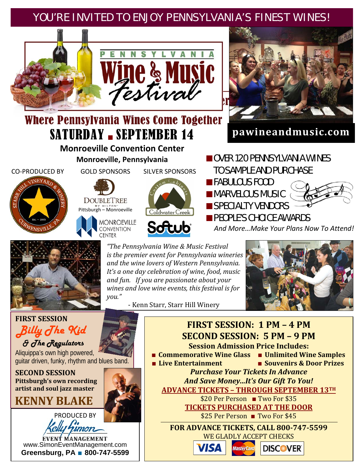## YOU'RE INVITED TO ENJOY PENNSYLVANIA'S FINEST WINES!





**pawineandmusic.com**

# Where Pennsylvania Wines Come Together SATURDAY - SEPTEMBER 14

#### **Monroeville Convention Center Monroeville, Pennsylvania** ■ OVER 120 PENNSYLVANIA WINES

CO‐PRODUCED BY



GOLD SPONSORS

DOUBLETREE **Pittsburgh – Monroeville** 



SILVER SPONSORS





*"The Pennsylvania Wine & Music Festival is the premier event for Pennsylvania wineries and the wine lovers of Western Pennsylvania. It's a one day celebration of wine, food, music and fun. If you are passionate about your wines and love wine events, this festival is for you."*

‐ Kenn Starr, Starr Hill Winery

 TO SAMPLE AND PURCHASE ■FABULOUS FOOD ■ MARVELOUS MUSIC ■ SPECIALTY VENDORS ■ PEOPLE'S CHOICE AWARDS

 *And More…Make Your Plans Now To Attend!*







**FIRST SESSION** *Billy The Kid & The Regulators* 

Aliquippa's own high powered, guitar driven, funky, rhythm and blues band.

**SECOND SESSION Pittsburgh's own recording artist and soul jazz master**

**KENNY BLAKE**



EVENT MANAGEMENT www.SimonEventManagement.com **Greensburg, PA** ■ **800-747-5599**